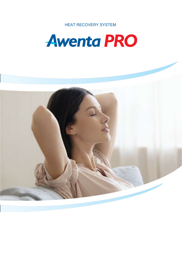HEAT RECOVERY SYSTEM



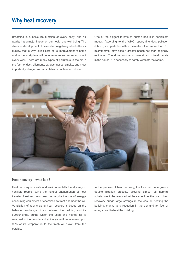### **Why heat recovery**

Breathing is a basic life function of every body, and air quality has a major impact on our health and well-being. The dynamic development of civilisation negatively affects the air quality, that is why taking care of its improvement at home and in the workplace will become more and more important every year. There are many types of pollutants in the air in the form of dust, allergens, exhaust gases, smoke, and most importantly, dangerous particulates or unpleasant odours.

One of the biggest threats to human health is particulate matter. According to the WHO report, fine dust pollution (PM2.5, i.e. particles with a diameter of no more than 2.5 micrometres) may pose a greater health risk than originally estimated. Therefore, in order to maintain an optimal climate in the house, it is necessary to safely ventilate the rooms.



#### **Heat recovery – what is it?**

Heat recovery is a safe and environmentally friendly way to ventilate rooms, using the natural phenomenon of heat transfer. Heat recovery does not require the use of energyconsuming equipment or chemicals to treat and heat the air. Ventilation of rooms using heat recovery is based on the balanced exchange of air between the building and its surroundings, during which the used and heated air is removed to the outside and at the same time releases up to 95% of its temperature to the fresh air drawn from the outside.

In the process of heat recovery, the fresh air undergoes a double filtration process, allowing almost all harmful substances to be removed. At the same time, the use of heat recovery brings large savings in the cost of heating the building, thanks to a reduction in the demand for fuel or energy used to heat the building.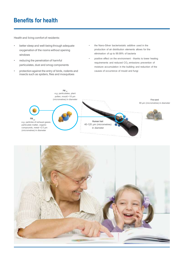# **Benefits for health**

Health and living comfort of residents:

- better sleep and well-being through adequate oxygenation of the rooms without opening windows
- reducing the penetration of harmful particulates, dust and smog components
- protection against the entry of birds, rodents and insects such as spiders, flies and mosquitoes
- the Nano-Silver bacteriostatic additive used in the production of air distribution elements allows for the elimination of up to 99.99% of bacteria
- positive effect on the environment thanks to lower heating requirements and reduced  $CO<sub>2</sub>$  emissions prevention of moisture accumulation in the building and reduction of the causes of occurrence of mould and fungi



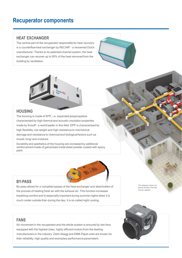# **Recuperator components**

#### **HEAT EXCHANGER**

The central part of the recuperator responsible for heat recovery is a counterflow heat exchanger by RECAIR – a renowned Dutch manufacturer. Thanks to its patented channel system, the heat exchanger can recover up to 95% of the heat removed from the building by ventilation.





#### **HOUSING**

The housing is made of EPP, i.e. expanded polypropylene characterised by high thermal and acoustic insulation properties made by Knauff – a world leader in this field. EPP is characterised by high flexibility, low weight and high resistance to mechanical damage and resistance to chemical and biological factors such as mould, fungi and moisture.

Durability and aesthetics of the housing are increased by additional reinforcement made of galvanised metal sheet powder coated with epoxy paint.



#### **BY-PASS**

By-pass allows for a complete bypass of the heat exchanger and deactivation of the process of heating fresh air with the exhaust air. This function increases breathing comfort and is especially important during summer nights when it is much cooler outside than during the day; it is so-called night cooling.

**FANS**

Air movement in the recuperator and the whole system is ensured by two fans equipped with the highest class, highly efficient motors from the leading manufacturers in the industry. Ziehl-Abegg and EBM-Papst units are known for their reliability, high quality and exemplary performance parameters.

*The diagram shows the general principle of the heat recovery operation*

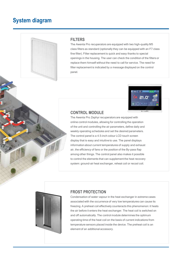## **System diagram**



#### **FILTERS**

The Awenta Pro recuperators are equipped with two high-quality M5 class filters as standard (optionally they can be equipped with an F7 class fine filter). Filter replacement is quick and easy thanks to special openings in the housing. The user can check the condition of the filters or replace them himself without the need to call for service. The need for filter replacement is indicated by a message displayed on the control panel.



#### **CONTROL MODULE**

The Awenta Pro Zephyr recuperators are equipped with online control modules, allowing for controlling the operation of the unit and controlling the air parameters, define daily and weekly operating schedules and set the desired parameters. The control panel is a 4.5-inch colour LCD touch screen display that is easy and intuitive to use. The panel displays information about current temperatures of supply and exhaust air, the efficiency of fans or the position of the By-pass flap among other things. The control panel also makes it possible to control the elements that can supplement the heat recovery system: ground-air heat exchanger, reheat coil or recool coil.



### **FROST PROTECTION**

Condensation of water vapour in the heat exchanger in extreme cases associated with the occurrence of very low temperatures can cause its freezing. A preheat coil effectively counteracts this phenomenon: it heats the air before it enters the heat exchanger. The heat coil is switched on and off automatically. The control module determines the optimum operating time of the heat coil on the basis of current indications from temperature sensors placed inside the device. The preheat coil is an element of an additional accessory.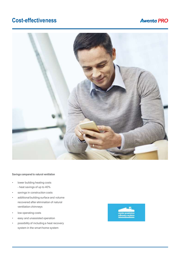# **Cost-effectiveness**

### **Awenta PRO**



#### **Savings compared to natural ventilation**

- lower building heating costs – heat savings of up to 40%
- savings in construction costs
- additional building surface and volume recovered after elimination of natural ventilation chimneys
- low operating costs
- easy and unassisted operation
- possibility of including a heat recovery system in the smart home system

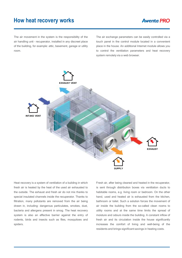### **Awenta PRO**

The air movement in the system is the responsibility of the air handling unit – recuperator, installed in any discreet place of the building, for example: attic, basement, garage or utility room.

The air exchange parameters can be easily controlled via a touch panel in the control module located in a convenient place in the house. An additional Internet module allows you to control the ventilation parameters and heat recovery system remotely via a web browser.



Heat recovery is a system of ventilation of a building in which fresh air is heated by the heat of the used air exhausted to the outside. The exhaust and fresh air do not mix thanks to special insulated channels inside the recuperator. Thanks to filtration, many pollutants are removed from the air being drawn in, including: dangerous particulates, smokes, dust, bacteria and allergens present in smog. The heat recovery system is also an effective barrier against the entry of rodents, birds and insects such as flies, mosquitoes and spiders.

Fresh air, after being cleaned and heated in the recuperator, is sent through distribution boxes via ventilation ducts to habitable rooms, e.g. living room or bedroom. On the other hand, used and heated air is exhausted from the kitchen, bathroom or toilet. Such a solution forces the movement of air inside the building from the so-called clean rooms to utility rooms and at the same time limits the spread of moisture and odours inside the building. A constant inflow of fresh air and its circulation inside the house significantly increases the comfort of living and well-being of the residents and brings significant savings in heating costs.